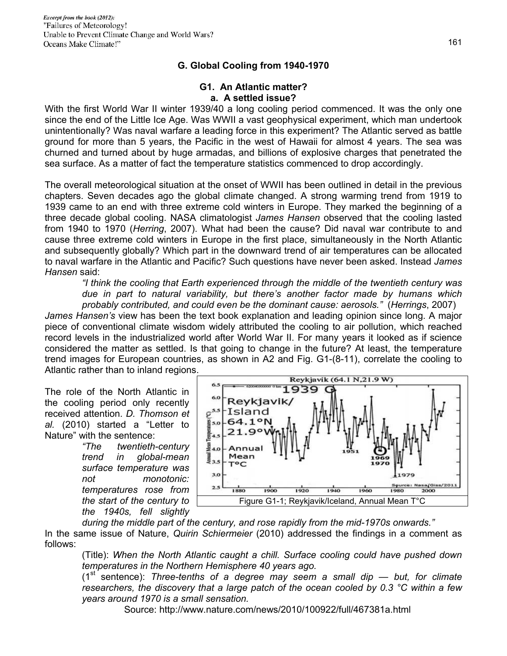### **G. Global Cooling from 1940-1970**

#### **G1. An Atlantic matter? a. A settled issue?**

With the first World War II winter 1939/40 a long cooling period commenced. It was the only one since the end of the Little Ice Age. Was WWII a vast geophysical experiment, which man undertook unintentionally? Was naval warfare a leading force in this experiment? The Atlantic served as battle ground for more than 5 years, the Pacific in the west of Hawaii for almost 4 years. The sea was churned and turned about by huge armadas, and billions of explosive charges that penetrated the sea surface. As a matter of fact the temperature statistics commenced to drop accordingly.

The overall meteorological situation at the onset of WWII has been outlined in detail in the previous chapters. Seven decades ago the global climate changed. A strong warming trend from 1919 to 1939 came to an end with three extreme cold winters in Europe. They marked the beginning of a three decade global cooling. NASA climatologist *James Hansen* observed that the cooling lasted from 1940 to 1970 (*Herring*, 2007). What had been the cause? Did naval war contribute to and cause three extreme cold winters in Europe in the first place, simultaneously in the North Atlantic and subsequently globally? Which part in the downward trend of air temperatures can be allocated to naval warfare in the Atlantic and Pacific? Such questions have never been asked. Instead *James Hansen* said:

*"I think the cooling that Earth experienced through the middle of the twentieth century was due in part to natural variability, but there's another factor made by humans which probably contributed, and could even be the dominant cause: aerosols."* (*Herrings*, 2007)

*James Hansen's* view has been the text book explanation and leading opinion since long. A major piece of conventional climate wisdom widely attributed the cooling to air pollution, which reached record levels in the industrialized world after World War II. For many years it looked as if science considered the matter as settled. Is that going to change in the future? At least, the temperature trend images for European countries, as shown in A2 and Fig. G1-(8-11), correlate the cooling to Atlantic rather than to inland regions.

The role of the North Atlantic in the cooling period only recently received attention. *D. Thomson et al.* (2010) started a "Letter to Nature" with the sentence:

> *"The twentieth-century trend in global-mean surface temperature was not monotonic: temperatures rose from the start of the century to the 1940s, fell slightly*



*during the middle part of the century, and rose rapidly from the mid-1970s onwards."*  In the same issue of Nature, *Quirin Schiermeier* (2010) addressed the findings in a comment as follows:

(Title): *When the North Atlantic caught a chill. Surface cooling could have pushed down temperatures in the Northern Hemisphere 40 years ago.* 

 $(1<sup>st</sup>$  sentence): *Three-tenths of a degree may seem a small dip — but, for climate researchers, the discovery that a large patch of the ocean cooled by 0.3 °C within a few years around 1970 is a small sensation.*

Source: http://www.nature.com/news/2010/100922/full/467381a.html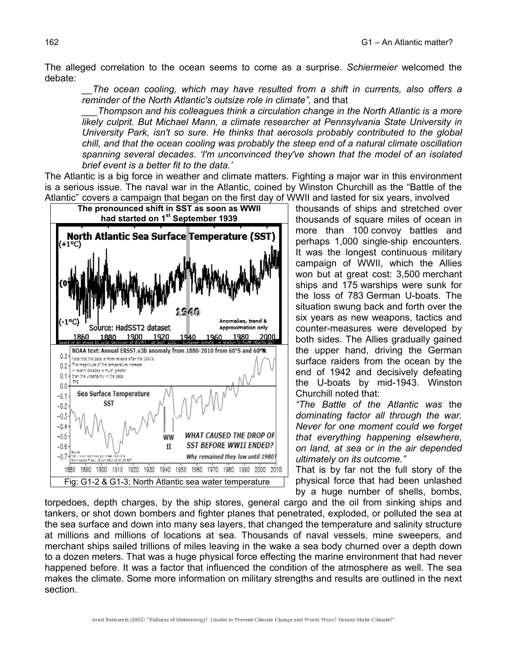The alleged correlation to the ocean seems to come as a surprise. *Schiermeier* welcomed the debate:

*\_\_The ocean cooling, which may have resulted from a shift in currents, also offers a reminder of the North Atlantic's outsize role in climate",* and that

*\_\_\_Thompson and his colleagues think a circulation change in the North Atlantic is a more likely culprit. But Michael Mann, a climate researcher at Pennsylvania State University in University Park, isn't so sure. He thinks that aerosols probably contributed to the global chill, and that the ocean cooling was probably the steep end of a natural climate oscillation spanning several decades. 'I'm unconvinced they've shown that the model of an isolated brief event is a better fit to the data.'* 

The Atlantic is a big force in weather and climate matters. Fighting a major war in this environment is a serious issue. The naval war in the Atlantic, coined by Winston Churchill as the "Battle of the Atlantic" covers a campaign that began on the first day of WWII and lasted for six years, involved



thousands of ships and stretched over thousands of square miles of ocean in more than 100 convoy battles and perhaps 1,000 single-ship encounters. It was the longest continuous military campaign of WWII, which the Allies won but at great cost: 3,500 merchant ships and 175 warships were sunk for the loss of 783 German U-boats. The situation swung back and forth over the six years as new weapons, tactics and counter-measures were developed by both sides. The Allies gradually gained the upper hand, driving the German surface raiders from the ocean by the end of 1942 and decisively defeating the U-boats by mid-1943. Winston Churchill noted that:

*"The Battle of the Atlantic was* the *dominating factor all through the war. Never for one moment could we forget that everything happening elsewhere, on land, at sea or in the air depended ultimately on its outcome."* 

That is by far not the full story of the physical force that had been unlashed by a huge number of shells, bombs,

torpedoes, depth charges, by the ship stores, general cargo and the oil from sinking ships and tankers, or shot down bombers and fighter planes that penetrated, exploded, or polluted the sea at the sea surface and down into many sea layers, that changed the temperature and salinity structure at millions and millions of locations at sea. Thousands of naval vessels, mine sweepers, and merchant ships sailed trillions of miles leaving in the wake a sea body churned over a depth down to a dozen meters. That was a huge physical force effecting the marine environment that had never happened before. It was a factor that influenced the condition of the atmosphere as well. The sea makes the climate. Some more information on military strengths and results are outlined in the next section.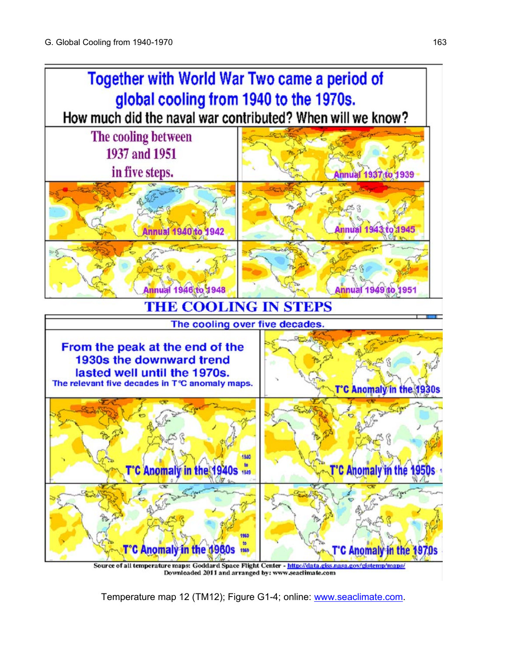

Downloaded 2011 and arranged by: www.seaclimate.com

Temperature map 12 (TM12); Figure G1-4; online: www.seaclimate.com.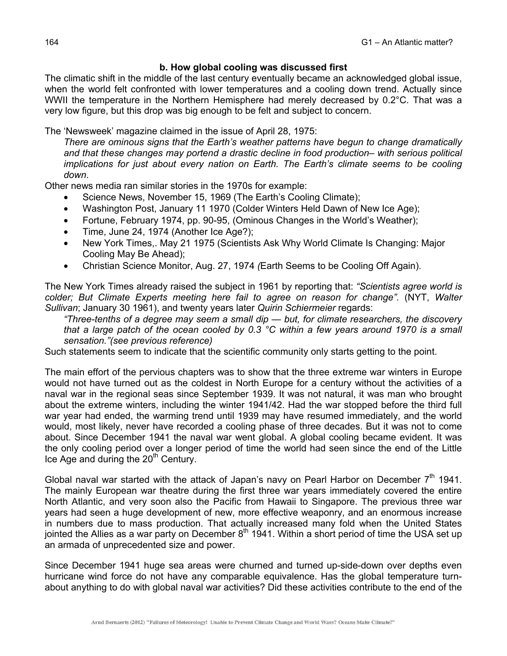### **b. How global cooling was discussed first**

The climatic shift in the middle of the last century eventually became an acknowledged global issue, when the world felt confronted with lower temperatures and a cooling down trend. Actually since WWII the temperature in the Northern Hemisphere had merely decreased by 0.2°C. That was a very low figure, but this drop was big enough to be felt and subject to concern.

The 'Newsweek' magazine claimed in the issue of April 28, 1975:

*There are ominous signs that the Earth's weather patterns have begun to change dramatically*  and that these changes may portend a drastic decline in food production– with serious political *implications for just about every nation on Earth. The Earth's climate seems to be cooling down*.

Other news media ran similar stories in the 1970s for example:

- Science News, November 15, 1969 (The Earth's Cooling Climate);
- Washington Post, January 11 1970 (Colder Winters Held Dawn of New Ice Age);
- Fortune, February 1974, pp. 90-95, (Ominous Changes in the World's Weather);
- Time, June 24, 1974 (Another Ice Age?);
- New York Times,. May 21 1975 (Scientists Ask Why World Climate Is Changing: Major Cooling May Be Ahead);
- Christian Science Monitor, Aug. 27, 1974 *(*Earth Seems to be Cooling Off Again).

The New York Times already raised the subject in 1961 by reporting that: *"Scientists agree world is colder; But Climate Experts meeting here fail to agree on reason for change".* (NYT, *Walter Sullivan*; January 30 1961), and twenty years later *Quirin Schiermeier* regards:

*"Three-tenths of a degree may seem a small dip — but, for climate researchers, the discovery that a large patch of the ocean cooled by 0.3 °C within a few years around 1970 is a small sensation."(see previous reference)*

Such statements seem to indicate that the scientific community only starts getting to the point.

The main effort of the pervious chapters was to show that the three extreme war winters in Europe would not have turned out as the coldest in North Europe for a century without the activities of a naval war in the regional seas since September 1939. It was not natural, it was man who brought about the extreme winters, including the winter 1941/42. Had the war stopped before the third full war year had ended, the warming trend until 1939 may have resumed immediately, and the world would, most likely, never have recorded a cooling phase of three decades. But it was not to come about. Since December 1941 the naval war went global. A global cooling became evident. It was the only cooling period over a longer period of time the world had seen since the end of the Little Ice Age and during the  $20<sup>th</sup>$  Century.

Global naval war started with the attack of Japan's navy on Pearl Harbor on December  $7<sup>th</sup>$  1941. The mainly European war theatre during the first three war years immediately covered the entire North Atlantic, and very soon also the Pacific from Hawaii to Singapore. The previous three war years had seen a huge development of new, more effective weaponry, and an enormous increase in numbers due to mass production. That actually increased many fold when the United States jointed the Allies as a war party on December  $8<sup>th</sup>$  1941. Within a short period of time the USA set up an armada of unprecedented size and power.

Since December 1941 huge sea areas were churned and turned up-side-down over depths even hurricane wind force do not have any comparable equivalence. Has the global temperature turnabout anything to do with global naval war activities? Did these activities contribute to the end of the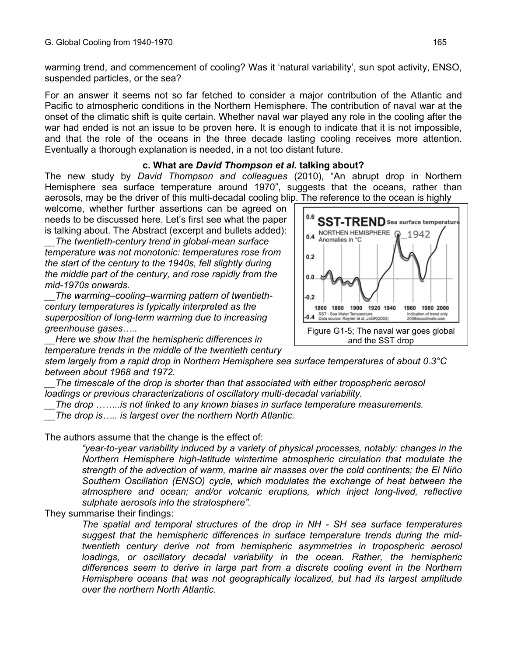warming trend, and commencement of cooling? Was it 'natural variability', sun spot activity, ENSO, suspended particles, or the sea?

For an answer it seems not so far fetched to consider a major contribution of the Atlantic and Pacific to atmospheric conditions in the Northern Hemisphere. The contribution of naval war at the onset of the climatic shift is quite certain. Whether naval war played any role in the cooling after the war had ended is not an issue to be proven here. It is enough to indicate that it is not impossible, and that the role of the oceans in the three decade lasting cooling receives more attention. Eventually a thorough explanation is needed, in a not too distant future.

#### **c. What are** *David Thompson et al***. talking about?**

The new study by *David Thompson and colleagues* (2010), "An abrupt drop in Northern Hemisphere sea surface temperature around 1970", suggests that the oceans, rather than aerosols, may be the driver of this multi-decadal cooling blip. The reference to the ocean is highly

welcome, whether further assertions can be agreed on needs to be discussed here. Let's first see what the paper is talking about. The Abstract (excerpt and bullets added):

*\_\_The twentieth-century trend in global-mean surface temperature was not monotonic: temperatures rose from the start of the century to the 1940s, fell slightly during the middle part of the century, and rose rapidly from the mid-1970s onwards.* 

*\_\_The warming–cooling–warming pattern of twentiethcentury temperatures is typically interpreted as the superposition of long-term warming due to increasing greenhouse gases…..* 

*\_\_Here we show that the hemispheric differences in temperature trends in the middle of the twentieth century* 

*stem largely from a rapid drop in Northern Hemisphere sea surface temperatures of about 0.3°C between about 1968 and 1972.* 

*\_\_The timescale of the drop is shorter than that associated with either tropospheric aerosol loadings or previous characterizations of oscillatory multi-decadal variability.* 

*\_\_The drop ……..is not linked to any known biases in surface temperature measurements.* 

*\_\_The drop is….. is largest over the northern North Atlantic.* 

The authors assume that the change is the effect of:

*"year-to-year variability induced by a variety of physical processes, notably: changes in the Northern Hemisphere high-latitude wintertime atmospheric circulation that modulate the strength of the advection of warm, marine air masses over the cold continents; the El Niño Southern Oscillation (ENSO) cycle, which modulates the exchange of heat between the atmosphere and ocean; and/or volcanic eruptions, which inject long-lived, reflective sulphate aerosols into the stratosphere".*

They summarise their findings:

*The spatial and temporal structures of the drop in NH - SH sea surface temperatures suggest that the hemispheric differences in surface temperature trends during the midtwentieth century derive not from hemispheric asymmetries in tropospheric aerosol loadings, or oscillatory decadal variability in the ocean. Rather, the hemispheric differences seem to derive in large part from a discrete cooling event in the Northern Hemisphere oceans that was not geographically localized, but had its largest amplitude over the northern North Atlantic.* 

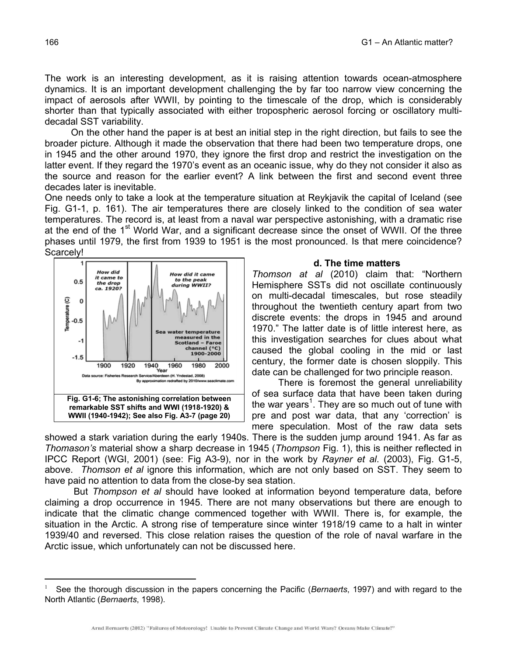The work is an interesting development, as it is raising attention towards ocean-atmosphere dynamics. It is an important development challenging the by far too narrow view concerning the impact of aerosols after WWII, by pointing to the timescale of the drop, which is considerably shorter than that typically associated with either tropospheric aerosol forcing or oscillatory multidecadal SST variability.

 On the other hand the paper is at best an initial step in the right direction, but fails to see the broader picture. Although it made the observation that there had been two temperature drops, one in 1945 and the other around 1970, they ignore the first drop and restrict the investigation on the latter event. If they regard the 1970's event as an oceanic issue, why do they not consider it also as the source and reason for the earlier event? A link between the first and second event three decades later is inevitable.

One needs only to take a look at the temperature situation at Reykjavik the capital of Iceland (see Fig. G1-1, p. 161). The air temperatures there are closely linked to the condition of sea water temperatures. The record is, at least from a naval war perspective astonishing, with a dramatic rise at the end of the 1<sup>st</sup> World War, and a significant decrease since the onset of WWII. Of the three phases until 1979, the first from 1939 to 1951 is the most pronounced. Is that mere coincidence? Scarcely!



#### **d. The time matters**

*Thomson at al* (2010) claim that: "Northern Hemisphere SSTs did not oscillate continuously on multi-decadal timescales, but rose steadily throughout the twentieth century apart from two discrete events: the drops in 1945 and around 1970." The latter date is of little interest here, as this investigation searches for clues about what caused the global cooling in the mid or last century, the former date is chosen sloppily. This date can be challenged for two principle reason.

 There is foremost the general unreliability of sea surface data that have been taken during the war years<sup>1</sup>. They are so much out of tune with pre and post war data, that any 'correction' is mere speculation. Most of the raw data sets

showed a stark variation during the early 1940s. There is the sudden jump around 1941. As far as *Thomason's* material show a sharp decrease in 1945 (*Thompson* Fig. 1), this is neither reflected in IPCC Report (WGI, 2001) (see: Fig A3-9), nor in the work by *Rayner et al*. (2003), Fig. G1-5, above. *Thomson et al* ignore this information, which are not only based on SST. They seem to have paid no attention to data from the close-by sea station.

 But *Thompson et al* should have looked at information beyond temperature data, before claiming a drop occurrence in 1945. There are not many observations but there are enough to indicate that the climatic change commenced together with WWII. There is, for example, the situation in the Arctic. A strong rise of temperature since winter 1918/19 came to a halt in winter 1939/40 and reversed. This close relation raises the question of the role of naval warfare in the Arctic issue, which unfortunately can not be discussed here.

 $\overline{a}$ 

<sup>1</sup> See the thorough discussion in the papers concerning the Pacific (*Bernaerts*, 1997) and with regard to the North Atlantic (*Bernaerts*, 1998).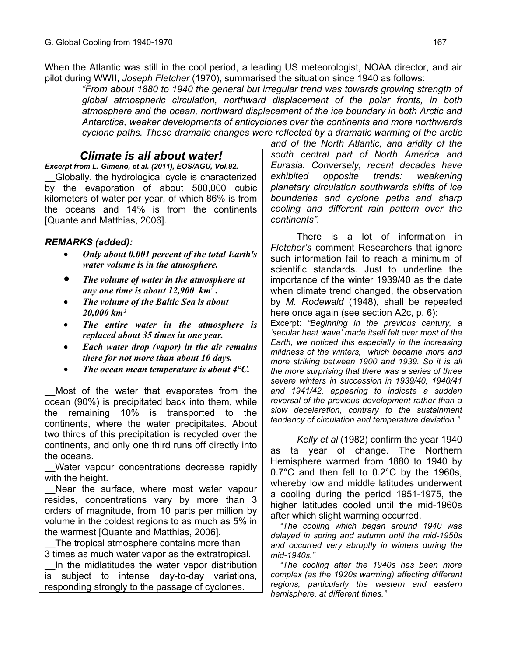When the Atlantic was still in the cool period, a leading US meteorologist, NOAA director, and air pilot during WWII, *Joseph Fletcher* (1970), summarised the situation since 1940 as follows:

*"From about 1880 to 1940 the general but irregular trend was towards growing strength of global atmospheric circulation, northward displacement of the polar fronts, in both atmosphere and the ocean, northward displacement of the ice boundary in both Arctic and Antarctica, weaker developments of anticyclones over the continents and more northwards cyclone paths. These dramatic changes were reflected by a dramatic warming of the arctic* 

# *Climate is all about water!*

*Excerpt from L. Gimeno, et al. (2011), EOS/AGU, Vol.92.*

\_\_Globally, the hydrological cycle is characterized by the evaporation of about 500,000 cubic kilometers of water per year, of which 86% is from the oceans and 14% is from the continents [Quante and Matthias, 2006].

# *REMARKS (added):*

- *Only about 0.001 percent of the total Earth's water volume is in the atmosphere.*
- *The volume of water in the atmosphere at any one time is about 12,900 km3 .*
- *The volume of the Baltic Sea is about 20,000 km³*
- *The entire water in the atmosphere is replaced about 35 times in one year.*
- *Each water drop (vapor) in the air remains there for not more than about 10 days.*
- *The ocean mean temperature is about 4°C.*

Most of the water that evaporates from the ocean (90%) is precipitated back into them, while the remaining 10% is transported to the continents, where the water precipitates. About two thirds of this precipitation is recycled over the continents, and only one third runs off directly into the oceans.

Water vapour concentrations decrease rapidly with the height.

Near the surface, where most water vapour resides, concentrations vary by more than 3 orders of magnitude, from 10 parts per million by volume in the coldest regions to as much as 5% in the warmest [Quante and Matthias, 2006].

The tropical atmosphere contains more than 3 times as much water vapor as the extratropical.

In the midlatitudes the water vapor distribution is subject to intense day-to-day variations, responding strongly to the passage of cyclones.

*and of the North Atlantic, and aridity of the south central part of North America and Eurasia. Conversely, recent decades have exhibited opposite trends: weakening planetary circulation southwards shifts of ice boundaries and cyclone paths and sharp cooling and different rain pattern over the continents".* 

 There is a lot of information in *Fletcher's* comment Researchers that ignore such information fail to reach a minimum of scientific standards. Just to underline the importance of the winter 1939/40 as the date when climate trend changed, the observation by *M. Rodewald* (1948), shall be repeated here once again (see section A2c, p. 6):

Excerpt: *"Beginning in the previous century, a 'secular heat wave' made itself felt over most of the Earth, we noticed this especially in the increasing mildness of the winters, which became more and more striking between 1900 and 1939. So it is all the more surprising that there was a series of three severe winters in succession in 1939/40, 1940/41 and 1941/42, appearing to indicate a sudden reversal of the previous development rather than a slow deceleration, contrary to the sustainment tendency of circulation and temperature deviation."* 

 *Kelly et al* (1982) confirm the year 1940 as ta year of change. The Northern Hemisphere warmed from 1880 to 1940 by 0.7°C and then fell to 0.2°C by the 1960s, whereby low and middle latitudes underwent a cooling during the period 1951-1975, the higher latitudes cooled until the mid-1960s after which slight warming occurred.

*\_\_"The cooling which began around 1940 was delayed in spring and autumn until the mid-1950s and occurred very abruptly in winters during the mid-1940s."* 

*\_\_"The cooling after the 1940s has been more complex (as the 1920s warming) affecting different regions, particularly the western and eastern hemisphere, at different times."*